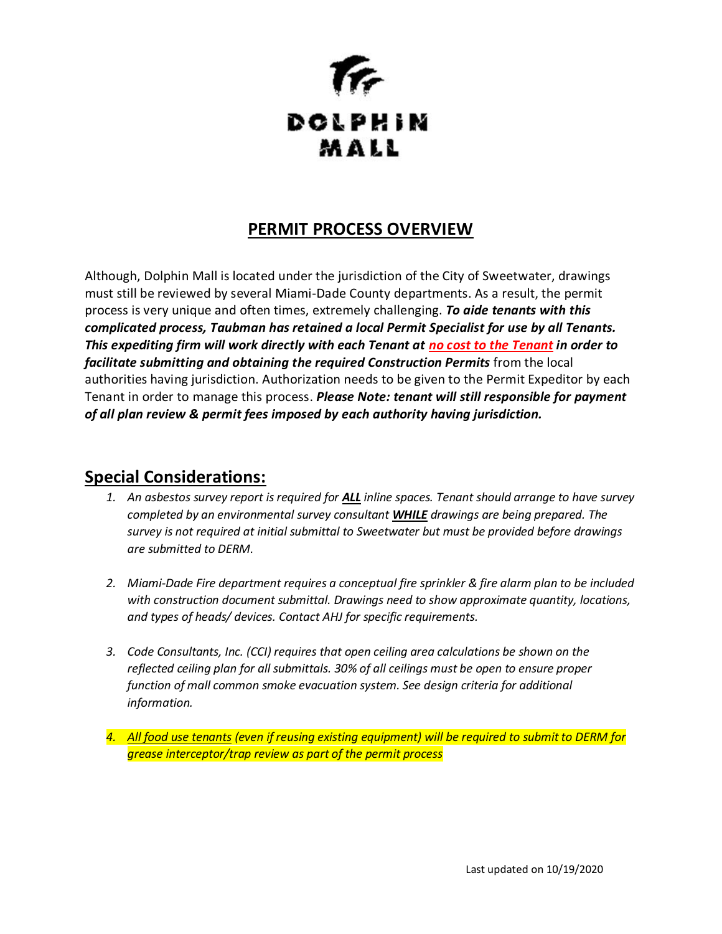

### **PERMIT PROCESS OVERVIEW**

Although, Dolphin Mall is located under the jurisdiction of the City of Sweetwater, drawings must still be reviewed by several Miami-Dade County departments. As a result, the permit process is very unique and often times, extremely challenging. *To aide tenants with this complicated process, Taubman has retained a local Permit Specialist for use by all Tenants. This expediting firm will work directly with each Tenant at no cost to the Tenant in order to*  facilitate submitting and obtaining the required Construction Permits from the local authorities having jurisdiction. Authorization needs to be given to the Permit Expeditor by each Tenant in order to manage this process. *Please Note: tenant will still responsible for payment of all plan review & permit fees imposed by each authority having jurisdiction.*

## **Special Considerations:**

- *1. An asbestos survey report is required for ALL inline spaces. Tenant should arrange to have survey completed by an environmental survey consultant WHILE drawings are being prepared. The survey is not required at initial submittal to Sweetwater but must be provided before drawings are submitted to DERM.*
- *2. Miami-Dade Fire department requires a conceptual fire sprinkler & fire alarm plan to be included with construction document submittal. Drawings need to show approximate quantity, locations, and types of heads/ devices. Contact AHJ for specific requirements.*
- *3. Code Consultants, Inc. (CCI) requires that open ceiling area calculations be shown on the reflected ceiling plan for all submittals. 30% of all ceilings must be open to ensure proper function of mall common smoke evacuation system. See design criteria for additional information.*
- *4. All food use tenants (even if reusing existing equipment) will be required to submit to DERM for grease interceptor/trap review as part of the permit process*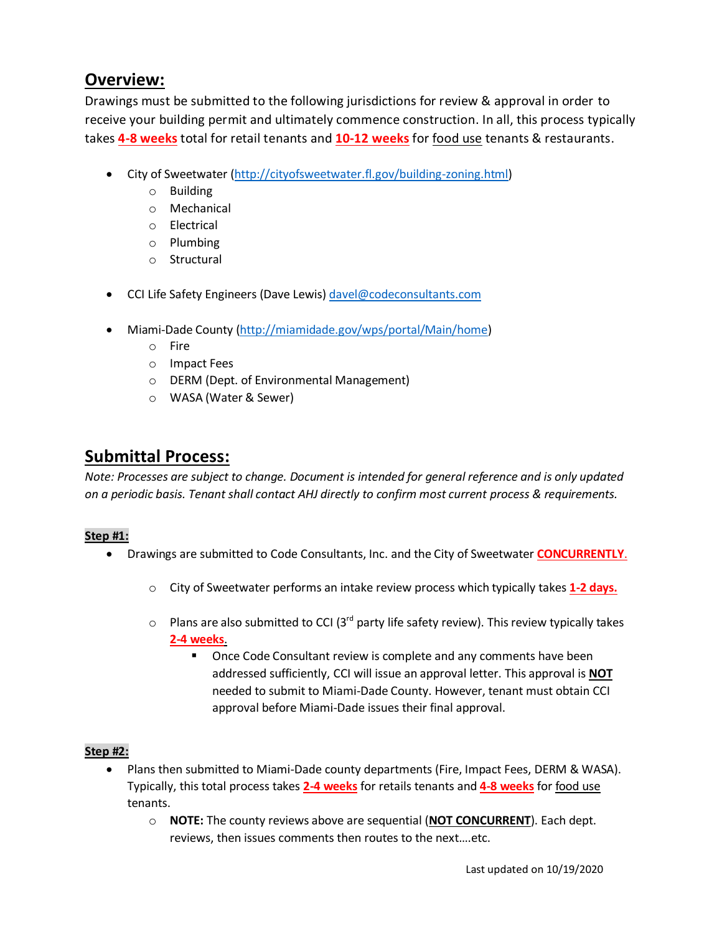# **Overview:**

Drawings must be submitted to the following jurisdictions for review & approval in order to receive your building permit and ultimately commence construction. In all, this process typically takes **4-8 weeks** total for retail tenants and **10-12 weeks** for food use tenants & restaurants.

- City of Sweetwater [\(http://cityofsweetwater.fl.gov/building-zoning.html\)](http://cityofsweetwater.fl.gov/building-zoning.html)
	- o Building
	- o Mechanical
	- o Electrical
	- o Plumbing
	- o Structural
- CCI Life Safety Engineers (Dave Lewis) [davel@codeconsultants.com](mailto:davel@codeconsultants.com)
- Miami-Dade County [\(http://miamidade.gov/wps/portal/Main/home\)](http://miamidade.gov/wps/portal/Main/home)
	- o Fire
	- o Impact Fees
	- o DERM (Dept. of Environmental Management)
	- o WASA (Water & Sewer)

## **Submittal Process:**

*Note: Processes are subject to change. Document is intended for general reference and is only updated on a periodic basis. Tenant shall contact AHJ directly to confirm most current process & requirements.*

#### **Step #1:**

- Drawings are submitted to Code Consultants, Inc. and the City of Sweetwater **CONCURRENTLY**.
	- o City of Sweetwater performs an intake review process which typically takes **1-2 days.**
	- $\circ$  Plans are also submitted to CCI (3<sup>rd</sup> party life safety review). This review typically takes **2-4 weeks**.
		- Once Code Consultant review is complete and any comments have been addressed sufficiently, CCI will issue an approval letter. This approval is **NOT** needed to submit to Miami-Dade County. However, tenant must obtain CCI approval before Miami-Dade issues their final approval.

### **Step #2:**

- Plans then submitted to Miami-Dade county departments (Fire, Impact Fees, DERM & WASA). Typically, this total process takes **2-4 weeks** for retails tenants and **4-8 weeks** for food use tenants.
	- o **NOTE:** The county reviews above are sequential (**NOT CONCURRENT**). Each dept. reviews, then issues comments then routes to the next….etc.